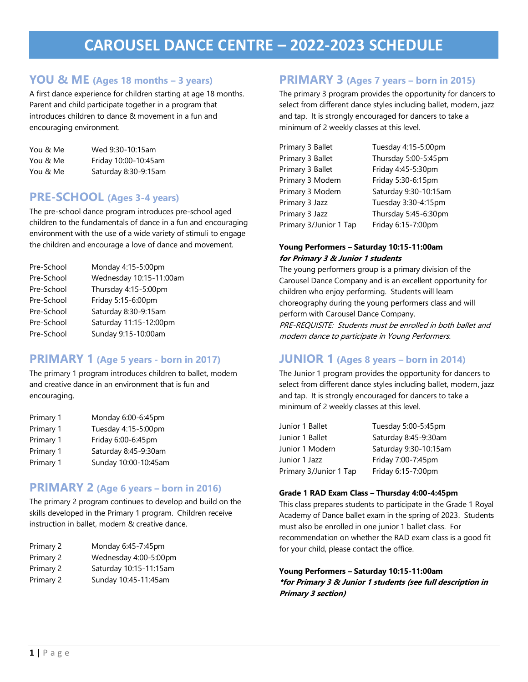# **CAROUSEL DANCE CENTRE – 2022-2023 SCHEDULE**

## **YOU & ME (Ages 18 months – 3 years)**

A first dance experience for children starting at age 18 months. Parent and child participate together in a program that introduces children to dance & movement in a fun and encouraging environment.

| You & Me | Wed 9:30-10:15am     |
|----------|----------------------|
| You & Me | Friday 10:00-10:45am |
| You & Me | Saturday 8:30-9:15am |

## **PRE-SCHOOL (Ages 3-4 years)**

The pre-school dance program introduces pre-school aged children to the fundamentals of dance in a fun and encouraging environment with the use of a wide variety of stimuli to engage the children and encourage a love of dance and movement.

| Pre-School | Monday 4:15-5:00pm      |
|------------|-------------------------|
| Pre-School | Wednesday 10:15-11:00am |
| Pre-School | Thursday 4:15-5:00pm    |
| Pre-School | Friday 5:15-6:00pm      |
| Pre-School | Saturday 8:30-9:15am    |
| Pre-School | Saturday 11:15-12:00pm  |
| Pre-School | Sunday 9:15-10:00am     |

## **PRIMARY 1 (Age 5 years - born in 2017)**

The primary 1 program introduces children to ballet, modern and creative dance in an environment that is fun and encouraging.

| Primary 1 | Monday 6:00-6:45pm   |
|-----------|----------------------|
| Primary 1 | Tuesday 4:15-5:00pm  |
| Primary 1 | Friday 6:00-6:45pm   |
| Primary 1 | Saturday 8:45-9:30am |
| Primary 1 | Sunday 10:00-10:45am |

## **PRIMARY 2 (Age 6 years – born in 2016)**

The primary 2 program continues to develop and build on the skills developed in the Primary 1 program. Children receive instruction in ballet, modern & creative dance.

| Primary 2 | Monday 6:45-7:45pm     |
|-----------|------------------------|
| Primary 2 | Wednesday 4:00-5:00pm  |
| Primary 2 | Saturday 10:15-11:15am |
| Primary 2 | Sunday 10:45-11:45am   |

## **PRIMARY 3 (Ages 7 years – born in 2015)**

The primary 3 program provides the opportunity for dancers to select from different dance styles including ballet, modern, jazz and tap. It is strongly encouraged for dancers to take a minimum of 2 weekly classes at this level.

| Primary 3 Ballet       | Tuesday 4:15-5:00pm   |
|------------------------|-----------------------|
| Primary 3 Ballet       | Thursday 5:00-5:45pm  |
| Primary 3 Ballet       | Friday 4:45-5:30pm    |
| Primary 3 Modern       | Friday 5:30-6:15pm    |
| Primary 3 Modern       | Saturday 9:30-10:15am |
| Primary 3 Jazz         | Tuesday 3:30-4:15pm   |
| Primary 3 Jazz         | Thursday 5:45-6:30pm  |
| Primary 3/Junior 1 Tap | Friday 6:15-7:00pm    |

#### **Young Performers – Saturday 10:15-11:00am for Primary 3 & Junior 1 students**

The young performers group is a primary division of the Carousel Dance Company and is an excellent opportunity for children who enjoy performing. Students will learn choreography during the young performers class and will perform with Carousel Dance Company.

PRE-REQUISITE: Students must be enrolled in both ballet and modern dance to participate in Young Performers.

## **JUNIOR 1 (Ages 8 years – born in 2014)**

The Junior 1 program provides the opportunity for dancers to select from different dance styles including ballet, modern, jazz and tap. It is strongly encouraged for dancers to take a minimum of 2 weekly classes at this level.

| Junior 1 Ballet        | Tuesday 5:00-5:45pm   |
|------------------------|-----------------------|
| Junior 1 Ballet        | Saturday 8:45-9:30am  |
| Junior 1 Modern        | Saturday 9:30-10:15am |
| Junior 1 Jazz          | Friday 7:00-7:45pm    |
| Primary 3/Junior 1 Tap | Friday 6:15-7:00pm    |

#### **Grade 1 RAD Exam Class – Thursday 4:00-4:45pm**

This class prepares students to participate in the Grade 1 Royal Academy of Dance ballet exam in the spring of 2023. Students must also be enrolled in one junior 1 ballet class. For recommendation on whether the RAD exam class is a good fit for your child, please contact the office.

#### **Young Performers – Saturday 10:15-11:00am \*for Primary 3 & Junior 1 students (see full description in Primary 3 section)**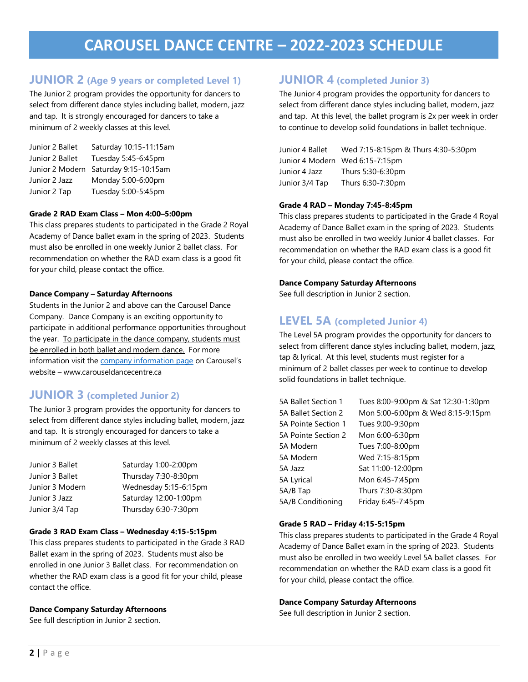# **CAROUSEL DANCE CENTRE – 2022-2023 SCHEDULE**

## **JUNIOR 2 (Age 9 years or completed Level 1)**

The Junior 2 program provides the opportunity for dancers to select from different dance styles including ballet, modern, jazz and tap. It is strongly encouraged for dancers to take a minimum of 2 weekly classes at this level.

| Junior 2 Ballet | Saturday 10:15-11:15am |
|-----------------|------------------------|
| Junior 2 Ballet | Tuesday 5:45-6:45pm    |
| Junior 2 Modern | Saturday 9:15-10:15am  |
| Junior 2 Jazz   | Monday 5:00-6:00pm     |
| Junior 2 Tap    | Tuesday 5:00-5:45pm    |

#### **Grade 2 RAD Exam Class – Mon 4:00–5:00pm**

This class prepares students to participated in the Grade 2 Royal Academy of Dance ballet exam in the spring of 2023. Students must also be enrolled in one weekly Junior 2 ballet class. For recommendation on whether the RAD exam class is a good fit for your child, please contact the office.

#### **Dance Company – Saturday Afternoons**

Students in the Junior 2 and above can the Carousel Dance Company. Dance Company is an exciting opportunity to participate in additional performance opportunities throughout the year. To participate in the dance company, students must be enrolled in both ballet and modern dance. For more information visit the [company information page](http://www.carouseldancecentre.ca/dance-company.html) on Carousel's website – www.carouseldancecentre.ca

## **JUNIOR 3 (completed Junior 2)**

The Junior 3 program provides the opportunity for dancers to select from different dance styles including ballet, modern, jazz and tap. It is strongly encouraged for dancers to take a minimum of 2 weekly classes at this level.

Junior 3 Ballet Saturday 1:00-2:00pm Junior 3 Ballet Thursday 7:30-8:30pm Junior 3 Modern Wednesday 5:15-6:15pm Junior 3 Jazz Saturday 12:00-1:00pm Junior 3/4 Tap Thursday 6:30-7:30pm

#### **Grade 3 RAD Exam Class – Wednesday 4:15-5:15pm**

This class prepares students to participated in the Grade 3 RAD Ballet exam in the spring of 2023. Students must also be enrolled in one Junior 3 Ballet class. For recommendation on whether the RAD exam class is a good fit for your child, please contact the office.

#### **Dance Company Saturday Afternoons**

See full description in Junior 2 section.

## **JUNIOR 4 (completed Junior 3)**

The Junior 4 program provides the opportunity for dancers to select from different dance styles including ballet, modern, jazz and tap. At this level, the ballet program is 2x per week in order to continue to develop solid foundations in ballet technique.

| Junior 4 Ballet | Wed 7:15-8:15pm & Thurs 4:30-5:30pm |
|-----------------|-------------------------------------|
|                 | Junior 4 Modern Wed 6:15-7:15pm     |
| Junior 4 Jazz   | Thurs 5:30-6:30pm                   |
| Junior 3/4 Tap  | Thurs 6:30-7:30pm                   |

#### **Grade 4 RAD – Monday 7:45-8:45pm**

This class prepares students to participated in the Grade 4 Royal Academy of Dance Ballet exam in the spring of 2023. Students must also be enrolled in two weekly Junior 4 ballet classes. For recommendation on whether the RAD exam class is a good fit for your child, please contact the office.

#### **Dance Company Saturday Afternoons**

See full description in Junior 2 section.

## **LEVEL 5A (completed Junior 4)**

The Level 5A program provides the opportunity for dancers to select from different dance styles including ballet, modern, jazz, tap & lyrical. At this level, students must register for a minimum of 2 ballet classes per week to continue to develop solid foundations in ballet technique.

| 5A Ballet Section 1 | Tues 8:00-9:00pm & Sat 12:30-1:30pm |
|---------------------|-------------------------------------|
| 5A Ballet Section 2 | Mon 5:00-6:00pm & Wed 8:15-9:15pm   |
| 5A Pointe Section 1 | Tues 9:00-9:30pm                    |
| 5A Pointe Section 2 | Mon 6:00-6:30pm                     |
| 5A Modern           | Tues 7:00-8:00pm                    |
| 5A Modern           | Wed 7:15-8:15pm                     |
| 5A Jazz             | Sat 11:00-12:00pm                   |
| 5A Lyrical          | Mon 6:45-7:45pm                     |
| 5A/B Tap            | Thurs 7:30-8:30pm                   |
| 5A/B Conditioning   | Friday 6:45-7:45pm                  |

#### **Grade 5 RAD – Friday 4:15-5:15pm**

This class prepares students to participated in the Grade 4 Royal Academy of Dance Ballet exam in the spring of 2023. Students must also be enrolled in two weekly Level 5A ballet classes. For recommendation on whether the RAD exam class is a good fit for your child, please contact the office.

#### **Dance Company Saturday Afternoons**

See full description in Junior 2 section.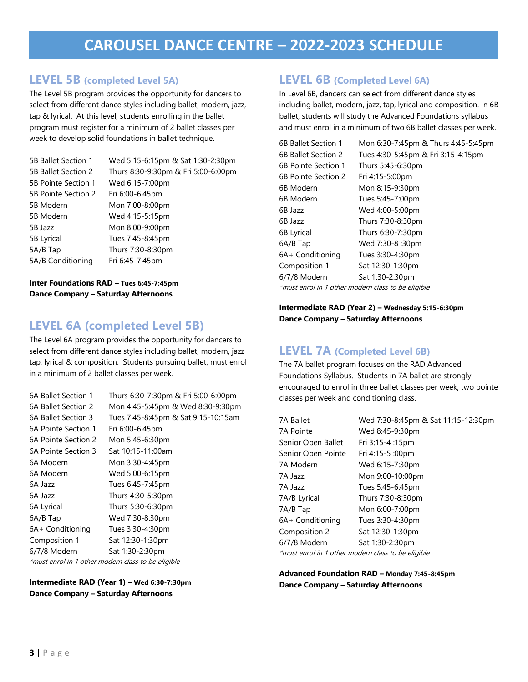## **LEVEL 5B (completed Level 5A)**

The Level 5B program provides the opportunity for dancers to select from different dance styles including ballet, modern, jazz, tap & lyrical. At this level, students enrolling in the ballet program must register for a minimum of 2 ballet classes per week to develop solid foundations in ballet technique.

| Wed 5:15-6:15pm & Sat 1:30-2:30pm   |
|-------------------------------------|
| Thurs 8:30-9:30pm & Fri 5:00-6:00pm |
| Wed 6:15-7:00pm                     |
| Fri 6:00-6:45pm                     |
| Mon 7:00-8:00pm                     |
| Wed 4:15-5:15pm                     |
| Mon 8:00-9:00pm                     |
| Tues 7:45-8:45pm                    |
| Thurs 7:30-8:30pm                   |
| Fri 6:45-7:45pm                     |
|                                     |

**Inter Foundations RAD – Tues 6:45-7:45pm Dance Company – Saturday Afternoons**

## **LEVEL 6A (completed Level 5B)**

The Level 6A program provides the opportunity for dancers to select from different dance styles including ballet, modern, jazz tap, lyrical & composition. Students pursuing ballet, must enrol in a minimum of 2 ballet classes per week.

| 6A Ballet Section 1 | Thurs 6:30-7:30pm & Fri 5:00-6:00pm                |
|---------------------|----------------------------------------------------|
| 6A Ballet Section 2 | Mon 4:45-5:45pm & Wed 8:30-9:30pm                  |
| 6A Ballet Section 3 | Tues 7:45-8:45pm & Sat 9:15-10:15am                |
| 6A Pointe Section 1 | Fri 6:00-6:45pm                                    |
| 6A Pointe Section 2 | Mon 5:45-6:30pm                                    |
| 6A Pointe Section 3 | Sat 10:15-11:00am                                  |
| 6A Modern           | Mon 3:30-4:45pm                                    |
| 6A Modern           | Wed 5:00-6:15pm                                    |
| 6A Jazz             | Tues 6:45-7:45pm                                   |
| 6A Jazz             | Thurs 4:30-5:30pm                                  |
| 6A Lyrical          | Thurs 5:30-6:30pm                                  |
| 6A/B Tap            | Wed 7:30-8:30pm                                    |
| 6A+ Conditioning    | Tues 3:30-4:30pm                                   |
| Composition 1       | Sat 12:30-1:30pm                                   |
| 6/7/8 Modern        | Sat 1:30-2:30pm                                    |
|                     | *must enrol in 1 other modern class to be eligible |

**Intermediate RAD (Year 1) – Wed 6:30-7:30pm Dance Company – Saturday Afternoons**

## **LEVEL 6B (Completed Level 6A)**

In Level 6B, dancers can select from different dance styles including ballet, modern, jazz, tap, lyrical and composition. In 6B ballet, students will study the Advanced Foundations syllabus and must enrol in a minimum of two 6B ballet classes per week.

| 6B Ballet Section 1 | Mon 6:30-7:45pm & Thurs 4:45-5:45pm                |
|---------------------|----------------------------------------------------|
| 6B Ballet Section 2 | Tues 4:30-5:45pm & Fri 3:15-4:15pm                 |
| 6B Pointe Section 1 | Thurs 5:45-6:30pm                                  |
| 6B Pointe Section 2 | Fri 4:15-5:00pm                                    |
| 6B Modern           | Mon 8:15-9:30pm                                    |
| 6B Modern           | Tues 5:45-7:00pm                                   |
| 6B Jazz             | Wed 4:00-5:00pm                                    |
| 6B Jazz             | Thurs 7:30-8:30pm                                  |
| 6B Lyrical          | Thurs 6:30-7:30pm                                  |
| 6A/B Tap            | Wed 7:30-8 :30pm                                   |
| 6A + Conditioning   | Tues 3:30-4:30pm                                   |
| Composition 1       | Sat 12:30-1:30pm                                   |
| 6/7/8 Modern        | Sat 1:30-2:30pm                                    |
|                     | *must enrol in 1 other modern class to be eligible |

#### **Intermediate RAD (Year 2) – Wednesday 5:15-6:30pm Dance Company – Saturday Afternoons**

## **LEVEL 7A (Completed Level 6B)**

The 7A ballet program focuses on the RAD Advanced Foundations Syllabus. Students in 7A ballet are strongly encouraged to enrol in three ballet classes per week, two pointe classes per week and conditioning class.

| 7A Ballet                                          | Wed 7:30-8:45pm & Sat 11:15-12:30pm |
|----------------------------------------------------|-------------------------------------|
| 7A Pointe                                          | Wed 8:45-9:30pm                     |
| Senior Open Ballet                                 | Fri 3:15-4 :15pm                    |
| Senior Open Pointe                                 | Fri 4:15-5 :00pm                    |
| 7A Modern                                          | Wed 6:15-7:30pm                     |
| 7A Jazz                                            | Mon 9:00-10:00pm                    |
| 7A Jazz                                            | Tues 5:45-6:45pm                    |
| 7A/B Lyrical                                       | Thurs 7:30-8:30pm                   |
| 7A/B Tap                                           | Mon 6:00-7:00pm                     |
| 6A+ Conditioning                                   | Tues 3:30-4:30pm                    |
| Composition 2                                      | Sat 12:30-1:30pm                    |
| 6/7/8 Modern                                       | Sat 1:30-2:30pm                     |
| *must enrol in 1 other modern class to be eligible |                                     |

**Advanced Foundation RAD – Monday 7:45-8:45pm Dance Company – Saturday Afternoons**